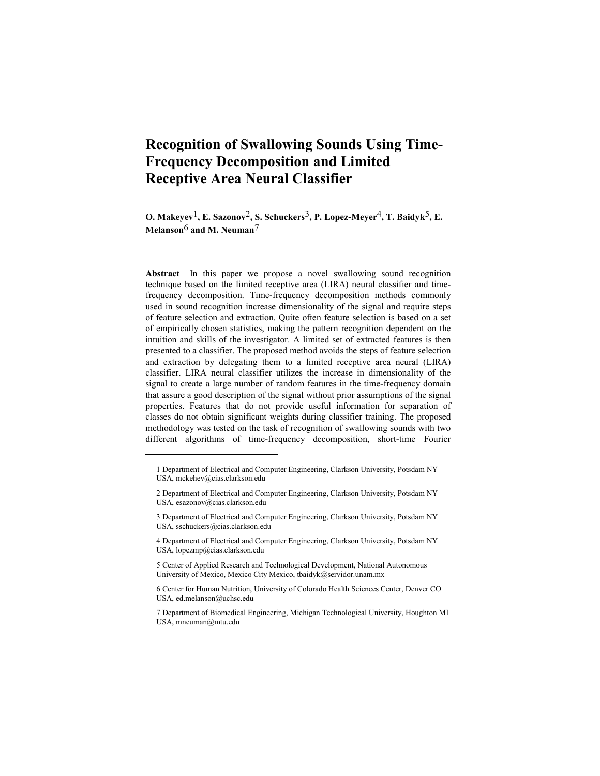O. Makeyev<sup>1</sup>, E. Sazonov<sup>2</sup>, S. Schuckers<sup>3</sup>, P. Lopez-Meyer<sup>4</sup>, T. Baidyk<sup>5</sup>, E. Melanson<sup>6</sup> and M. Neuman<sup>7</sup>

Abstract In this paper we propose a novel swallowing sound recognition technique based on the limited receptive area (LIRA) neural classifier and timefrequency decomposition. Time-frequency decomposition methods commonly used in sound recognition increase dimensionality of the signal and require steps of feature selection and extraction. Quite often feature selection is based on a set of empirically chosen statistics, making the pattern recognition dependent on the intuition and skills of the investigator. A limited set of extracted features is then presented to a classifier. The proposed method avoids the steps of feature selection and extraction by delegating them to a limited receptive area neural (LIRA) classifier. LIRA neural classifier utilizes the increase in dimensionality of the signal to create a large number of random features in the time-frequency domain that assure a good description of the signal without prior assumptions of the signal properties. Features that do not provide useful information for separation of classes do not obtain significant weights during classifier training. The proposed methodology was tested on the task of recognition of swallowing sounds with two different algorithms of time-frequency decomposition, short-time Fourier

 $\overline{a}$ 

<sup>1</sup> Department of Electrical and Computer Engineering, Clarkson University, Potsdam NY USA, mckehev@cias.clarkson.edu

<sup>2</sup> Department of Electrical and Computer Engineering, Clarkson University, Potsdam NY USA, esazonov@cias.clarkson.edu

<sup>3</sup> Department of Electrical and Computer Engineering, Clarkson University, Potsdam NY USA, sschuckers@cias.clarkson.edu

<sup>4</sup> Department of Electrical and Computer Engineering, Clarkson University, Potsdam NY USA, lopezmp@cias.clarkson.edu

<sup>5</sup> Center of Applied Research and Technological Development, National Autonomous University of Mexico, Mexico City Mexico, tbaidyk@servidor.unam.mx

<sup>6</sup> Center for Human Nutrition, University of Colorado Health Sciences Center, Denver CO USA, ed.melanson@uchsc.edu

<sup>7</sup> Department of Biomedical Engineering, Michigan Technological University, Houghton MI USA, mneuman@mtu.edu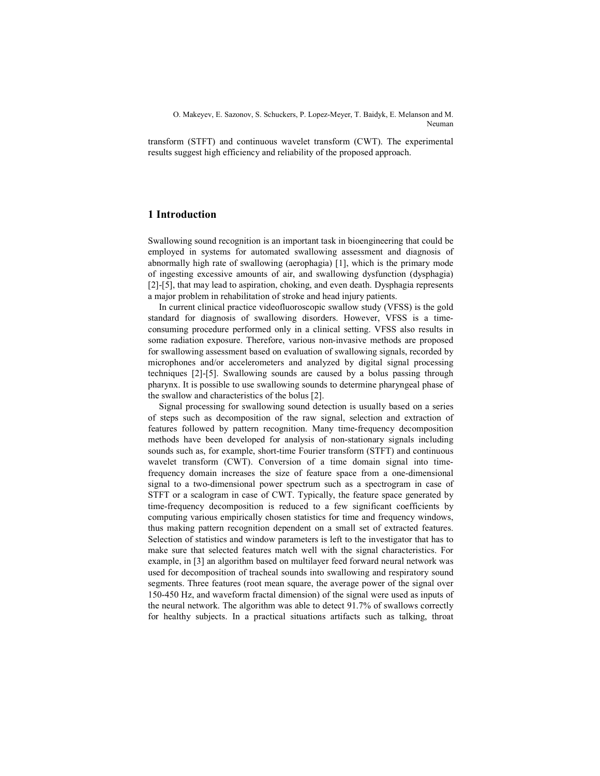transform (STFT) and continuous wavelet transform (CWT). The experimental results suggest high efficiency and reliability of the proposed approach.

#### 1 Introduction

Swallowing sound recognition is an important task in bioengineering that could be employed in systems for automated swallowing assessment and diagnosis of abnormally high rate of swallowing (aerophagia) [1], which is the primary mode of ingesting excessive amounts of air, and swallowing dysfunction (dysphagia) [2]-[5], that may lead to aspiration, choking, and even death. Dysphagia represents a major problem in rehabilitation of stroke and head injury patients.

In current clinical practice videofluoroscopic swallow study (VFSS) is the gold standard for diagnosis of swallowing disorders. However, VFSS is a timeconsuming procedure performed only in a clinical setting. VFSS also results in some radiation exposure. Therefore, various non-invasive methods are proposed for swallowing assessment based on evaluation of swallowing signals, recorded by microphones and/or accelerometers and analyzed by digital signal processing techniques [2]-[5]. Swallowing sounds are caused by a bolus passing through pharynx. It is possible to use swallowing sounds to determine pharyngeal phase of the swallow and characteristics of the bolus [2].

Signal processing for swallowing sound detection is usually based on a series of steps such as decomposition of the raw signal, selection and extraction of features followed by pattern recognition. Many time-frequency decomposition methods have been developed for analysis of non-stationary signals including sounds such as, for example, short-time Fourier transform (STFT) and continuous wavelet transform (CWT). Conversion of a time domain signal into timefrequency domain increases the size of feature space from a one-dimensional signal to a two-dimensional power spectrum such as a spectrogram in case of STFT or a scalogram in case of CWT. Typically, the feature space generated by time-frequency decomposition is reduced to a few significant coefficients by computing various empirically chosen statistics for time and frequency windows, thus making pattern recognition dependent on a small set of extracted features. Selection of statistics and window parameters is left to the investigator that has to make sure that selected features match well with the signal characteristics. For example, in [3] an algorithm based on multilayer feed forward neural network was used for decomposition of tracheal sounds into swallowing and respiratory sound segments. Three features (root mean square, the average power of the signal over 150-450 Hz, and waveform fractal dimension) of the signal were used as inputs of the neural network. The algorithm was able to detect 91.7% of swallows correctly for healthy subjects. In a practical situations artifacts such as talking, throat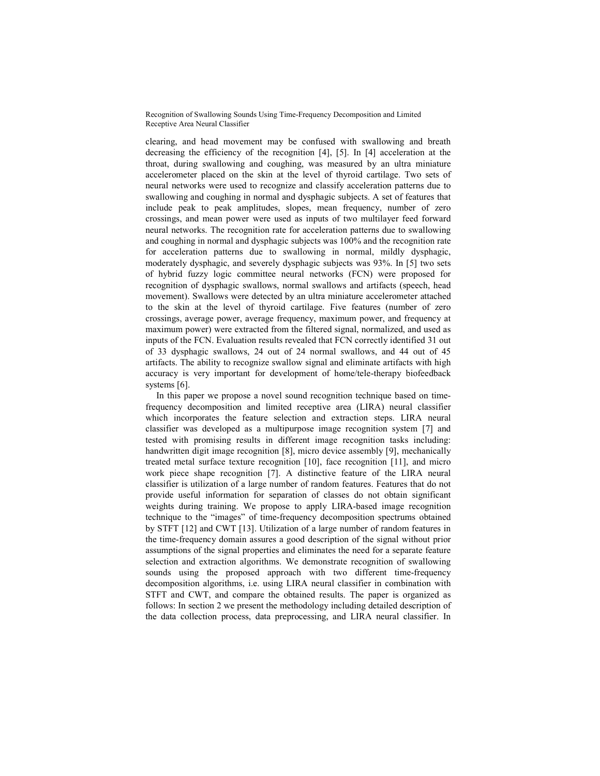clearing, and head movement may be confused with swallowing and breath decreasing the efficiency of the recognition [4], [5]. In [4] acceleration at the throat, during swallowing and coughing, was measured by an ultra miniature accelerometer placed on the skin at the level of thyroid cartilage. Two sets of neural networks were used to recognize and classify acceleration patterns due to swallowing and coughing in normal and dysphagic subjects. A set of features that include peak to peak amplitudes, slopes, mean frequency, number of zero crossings, and mean power were used as inputs of two multilayer feed forward neural networks. The recognition rate for acceleration patterns due to swallowing and coughing in normal and dysphagic subjects was 100% and the recognition rate for acceleration patterns due to swallowing in normal, mildly dysphagic, moderately dysphagic, and severely dysphagic subjects was 93%. In [5] two sets of hybrid fuzzy logic committee neural networks (FCN) were proposed for recognition of dysphagic swallows, normal swallows and artifacts (speech, head movement). Swallows were detected by an ultra miniature accelerometer attached to the skin at the level of thyroid cartilage. Five features (number of zero crossings, average power, average frequency, maximum power, and frequency at maximum power) were extracted from the filtered signal, normalized, and used as inputs of the FCN. Evaluation results revealed that FCN correctly identified 31 out of 33 dysphagic swallows, 24 out of 24 normal swallows, and 44 out of 45 artifacts. The ability to recognize swallow signal and eliminate artifacts with high accuracy is very important for development of home/tele-therapy biofeedback systems [6].

In this paper we propose a novel sound recognition technique based on timefrequency decomposition and limited receptive area (LIRA) neural classifier which incorporates the feature selection and extraction steps. LIRA neural classifier was developed as a multipurpose image recognition system [7] and tested with promising results in different image recognition tasks including: handwritten digit image recognition [8], micro device assembly [9], mechanically treated metal surface texture recognition [10], face recognition [11], and micro work piece shape recognition [7]. A distinctive feature of the LIRA neural classifier is utilization of a large number of random features. Features that do not provide useful information for separation of classes do not obtain significant weights during training. We propose to apply LIRA-based image recognition technique to the "images" of time-frequency decomposition spectrums obtained by STFT [12] and CWT [13]. Utilization of a large number of random features in the time-frequency domain assures a good description of the signal without prior assumptions of the signal properties and eliminates the need for a separate feature selection and extraction algorithms. We demonstrate recognition of swallowing sounds using the proposed approach with two different time-frequency decomposition algorithms, i.e. using LIRA neural classifier in combination with STFT and CWT, and compare the obtained results. The paper is organized as follows: In section 2 we present the methodology including detailed description of the data collection process, data preprocessing, and LIRA neural classifier. In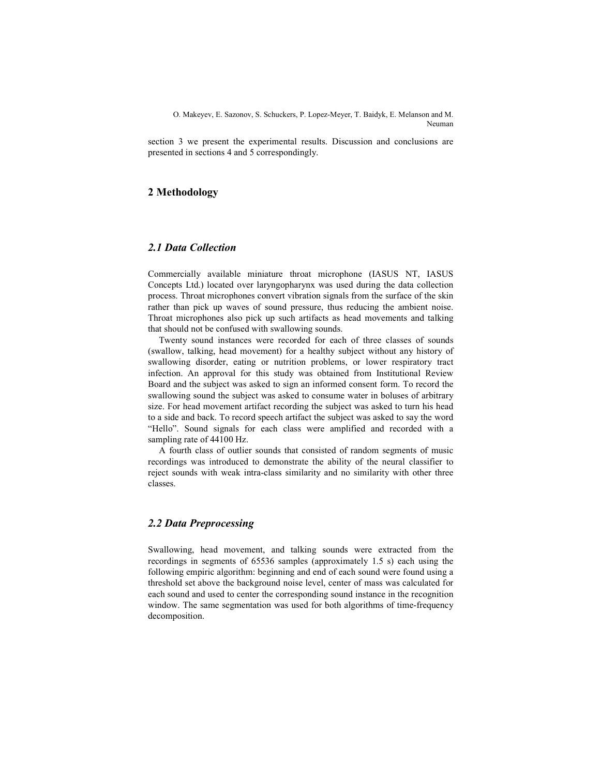section 3 we present the experimental results. Discussion and conclusions are presented in sections 4 and 5 correspondingly.

# 2 Methodology

## 2.1 Data Collection

Commercially available miniature throat microphone (IASUS NT, IASUS Concepts Ltd.) located over laryngopharynx was used during the data collection process. Throat microphones convert vibration signals from the surface of the skin rather than pick up waves of sound pressure, thus reducing the ambient noise. Throat microphones also pick up such artifacts as head movements and talking that should not be confused with swallowing sounds.

Twenty sound instances were recorded for each of three classes of sounds (swallow, talking, head movement) for a healthy subject without any history of swallowing disorder, eating or nutrition problems, or lower respiratory tract infection. An approval for this study was obtained from Institutional Review Board and the subject was asked to sign an informed consent form. To record the swallowing sound the subject was asked to consume water in boluses of arbitrary size. For head movement artifact recording the subject was asked to turn his head to a side and back. To record speech artifact the subject was asked to say the word "Hello". Sound signals for each class were amplified and recorded with a sampling rate of 44100 Hz.

A fourth class of outlier sounds that consisted of random segments of music recordings was introduced to demonstrate the ability of the neural classifier to reject sounds with weak intra-class similarity and no similarity with other three classes.

# 2.2 Data Preprocessing

Swallowing, head movement, and talking sounds were extracted from the recordings in segments of 65536 samples (approximately 1.5 s) each using the following empiric algorithm: beginning and end of each sound were found using a threshold set above the background noise level, center of mass was calculated for each sound and used to center the corresponding sound instance in the recognition window. The same segmentation was used for both algorithms of time-frequency decomposition.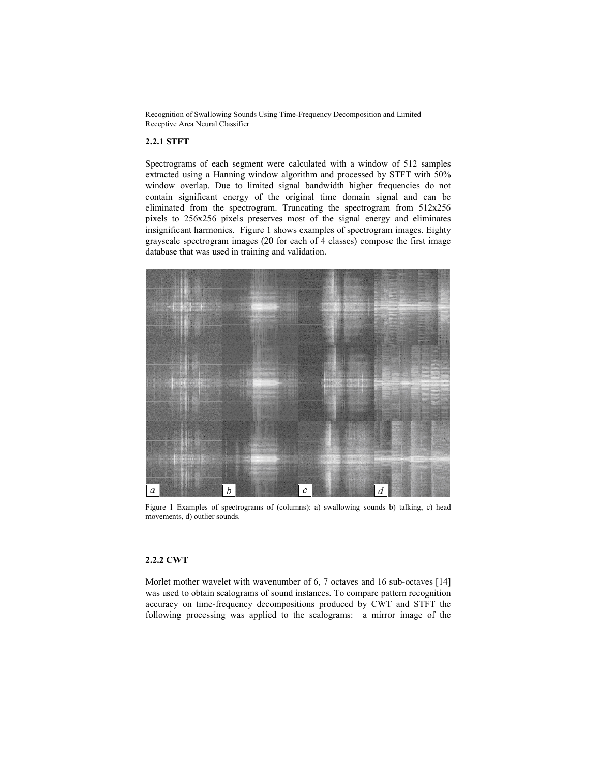## 2.2.1 STFT

Spectrograms of each segment were calculated with a window of 512 samples extracted using a Hanning window algorithm and processed by STFT with 50% window overlap. Due to limited signal bandwidth higher frequencies do not contain significant energy of the original time domain signal and can be eliminated from the spectrogram. Truncating the spectrogram from 512x256 pixels to 256x256 pixels preserves most of the signal energy and eliminates insignificant harmonics. Figure 1 shows examples of spectrogram images. Eighty grayscale spectrogram images (20 for each of 4 classes) compose the first image database that was used in training and validation.



Figure 1 Examples of spectrograms of (columns): a) swallowing sounds b) talking, c) head movements, d) outlier sounds.

### 2.2.2 CWT

Morlet mother wavelet with wavenumber of 6, 7 octaves and 16 sub-octaves [14] was used to obtain scalograms of sound instances. To compare pattern recognition accuracy on time-frequency decompositions produced by CWT and STFT the following processing was applied to the scalograms: a mirror image of the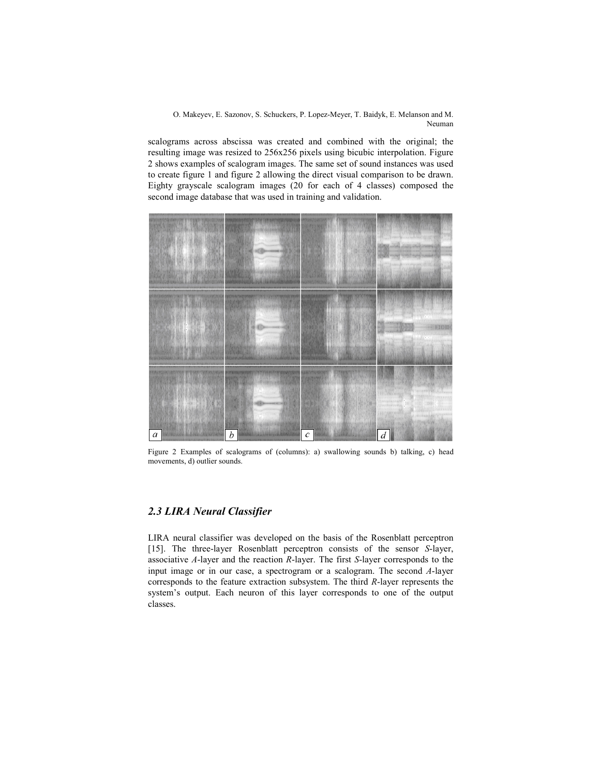scalograms across abscissa was created and combined with the original; the resulting image was resized to 256x256 pixels using bicubic interpolation. Figure 2 shows examples of scalogram images. The same set of sound instances was used to create figure 1 and figure 2 allowing the direct visual comparison to be drawn. Eighty grayscale scalogram images (20 for each of 4 classes) composed the second image database that was used in training and validation.



Figure 2 Examples of scalograms of (columns): a) swallowing sounds b) talking, c) head movements, d) outlier sounds.

# 2.3 LIRA Neural Classifier

LIRA neural classifier was developed on the basis of the Rosenblatt perceptron [15]. The three-layer Rosenblatt perceptron consists of the sensor S-layer, associative A-layer and the reaction R-layer. The first S-layer corresponds to the input image or in our case, a spectrogram or a scalogram. The second A-layer corresponds to the feature extraction subsystem. The third R-layer represents the system's output. Each neuron of this layer corresponds to one of the output classes.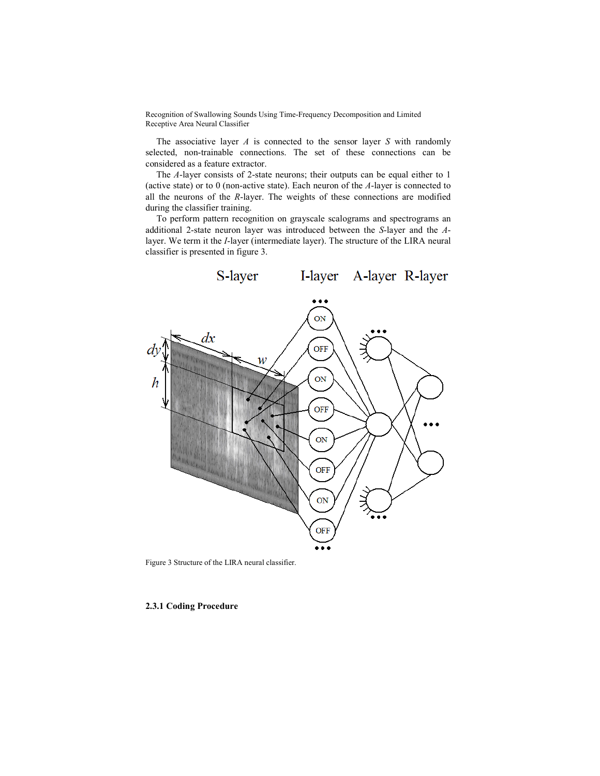The associative layer  $A$  is connected to the sensor layer  $S$  with randomly selected, non-trainable connections. The set of these connections can be considered as a feature extractor.

The A-layer consists of 2-state neurons; their outputs can be equal either to 1 (active state) or to 0 (non-active state). Each neuron of the A-layer is connected to all the neurons of the  $R$ -layer. The weights of these connections are modified during the classifier training.

To perform pattern recognition on grayscale scalograms and spectrograms an additional 2-state neuron layer was introduced between the S-layer and the Alayer. We term it the I-layer (intermediate layer). The structure of the LIRA neural classifier is presented in figure 3.



Figure 3 Structure of the LIRA neural classifier.

#### 2.3.1 Coding Procedure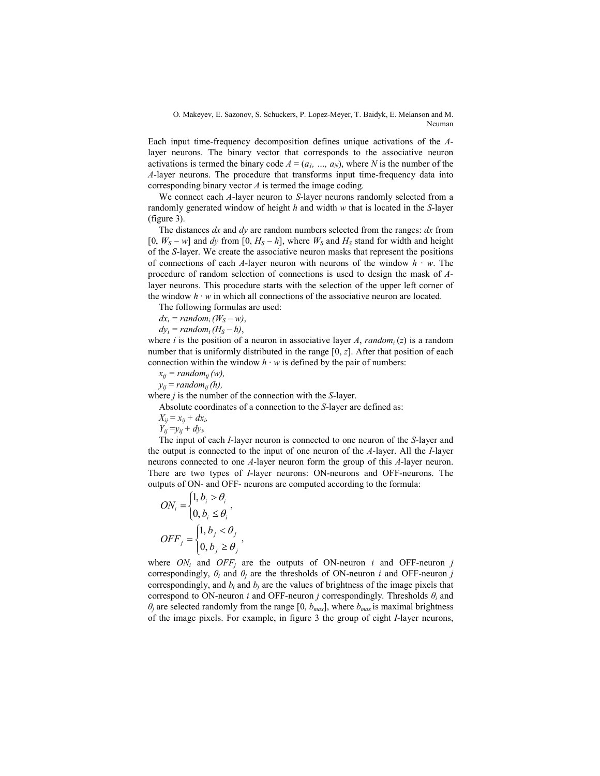Each input time-frequency decomposition defines unique activations of the Alayer neurons. The binary vector that corresponds to the associative neuron activations is termed the binary code  $A = (a_1, ..., a_N)$ , where N is the number of the A-layer neurons. The procedure that transforms input time-frequency data into corresponding binary vector A is termed the image coding.

We connect each A-layer neuron to S-layer neurons randomly selected from a randomly generated window of height  $h$  and width  $w$  that is located in the S-layer (figure 3).

The distances  $dx$  and  $dy$  are random numbers selected from the ranges:  $dx$  from  $[0, W_S - w]$  and dy from  $[0, H_S - h]$ , where  $W_S$  and  $H_S$  stand for width and height of the S-layer. We create the associative neuron masks that represent the positions of connections of each A-layer neuron with neurons of the window  $h \cdot w$ . The procedure of random selection of connections is used to design the mask of Alayer neurons. This procedure starts with the selection of the upper left corner of the window  $h \cdot w$  in which all connections of the associative neuron are located.

The following formulas are used:

 $dx_i = random_i (W_S - w),$ 

 $dy_i = random_i (H_S - h),$ 

where *i* is the position of a neuron in associative layer *A*, random<sub>i</sub> (*z*) is a random number that is uniformly distributed in the range  $[0, z]$ . After that position of each connection within the window  $h \cdot w$  is defined by the pair of numbers:

 $x_{ii} = random_{ii}(w)$ ,

 $y_{ii}$  = random<sub>ii</sub> (h),

where  $j$  is the number of the connection with the  $S$ -layer.

Absolute coordinates of a connection to the S-layer are defined as:

 $X_{ij} = x_{ij} + dx_i$ 

 $Y_{ij} = y_{ij} + dy_i$ .

The input of each I-layer neuron is connected to one neuron of the S-layer and the output is connected to the input of one neuron of the A-layer. All the I-layer neurons connected to one A-layer neuron form the group of this A-layer neuron. There are two types of I-layer neurons: ON-neurons and OFF-neurons. The outputs of ON- and OFF- neurons are computed according to the formula:

$$
ON_i = \begin{cases} 1, b_i > \theta_i \\ 0, b_i \le \theta_i \end{cases},
$$
  

$$
OFF_j = \begin{cases} 1, b_j < \theta_j \\ 0, b_j \ge \theta_j \end{cases},
$$

where  $ON_i$  and  $OFF_j$  are the outputs of ON-neuron i and OFF-neuron j correspondingly,  $\theta_i$  and  $\theta_j$  are the thresholds of ON-neuron *i* and OFF-neuron *j* correspondingly, and  $b_i$  and  $b_j$  are the values of brightness of the image pixels that correspond to ON-neuron *i* and OFF-neuron *j* correspondingly. Thresholds  $\theta_i$  and  $\theta_j$  are selected randomly from the range [0,  $b_{max}$ ], where  $b_{max}$  is maximal brightness of the image pixels. For example, in figure 3 the group of eight I-layer neurons,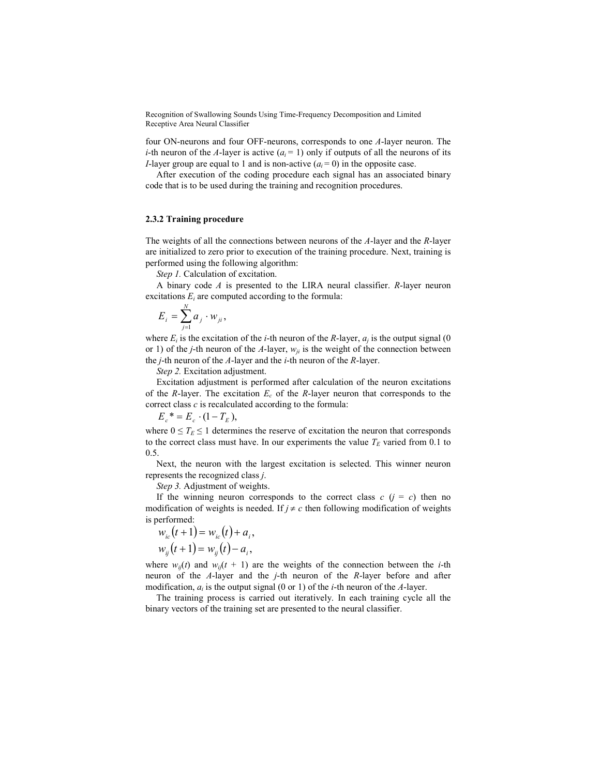four ON-neurons and four OFF-neurons, corresponds to one A-layer neuron. The *i*-th neuron of the A-layer is active  $(a<sub>i</sub> = 1)$  only if outputs of all the neurons of its *I*-layer group are equal to 1 and is non-active  $(a_i = 0)$  in the opposite case.

After execution of the coding procedure each signal has an associated binary code that is to be used during the training and recognition procedures.

#### 2.3.2 Training procedure

The weights of all the connections between neurons of the  $A$ -layer and the  $R$ -layer are initialized to zero prior to execution of the training procedure. Next, training is performed using the following algorithm:

Step 1. Calculation of excitation.

,

A binary code  $A$  is presented to the LIRA neural classifier.  $R$ -layer neuron excitations  $E_i$  are computed according to the formula:

$$
E_i = \sum_{j=1}^N a_j \cdot w_{ji}
$$

where  $E_i$  is the excitation of the *i*-th neuron of the *R*-layer,  $a_j$  is the output signal (0 or 1) of the j-th neuron of the A-layer,  $w_{ii}$  is the weight of the connection between the  $j$ -th neuron of the  $A$ -layer and the  $i$ -th neuron of the  $R$ -layer.

Step 2. Excitation adjustment.

Excitation adjustment is performed after calculation of the neuron excitations of the R-layer. The excitation  $E_c$  of the R-layer neuron that corresponds to the correct class  $c$  is recalculated according to the formula:

 $E_c^* = E_c \cdot (1 - T_E),$ 

where  $0 \leq T_E \leq 1$  determines the reserve of excitation the neuron that corresponds to the correct class must have. In our experiments the value  $T_E$  varied from 0.1 to 0.5.

Next, the neuron with the largest excitation is selected. This winner neuron represents the recognized class j.

Step 3. Adjustment of weights.

If the winning neuron corresponds to the correct class  $c$  ( $j = c$ ) then no modification of weights is needed. If  $j \neq c$  then following modification of weights is performed:

$$
w_{ic}(t+1) = w_{ic}(t) + a_i,
$$
  

$$
w_{ij}(t+1) = w_{ij}(t) - a_i,
$$

where  $w_{ij}(t)$  and  $w_{ij}(t + 1)$  are the weights of the connection between the *i*-th neuron of the A-layer and the j-th neuron of the R-layer before and after modification,  $a_i$  is the output signal (0 or 1) of the *i*-th neuron of the *A*-layer.

The training process is carried out iteratively. In each training cycle all the binary vectors of the training set are presented to the neural classifier.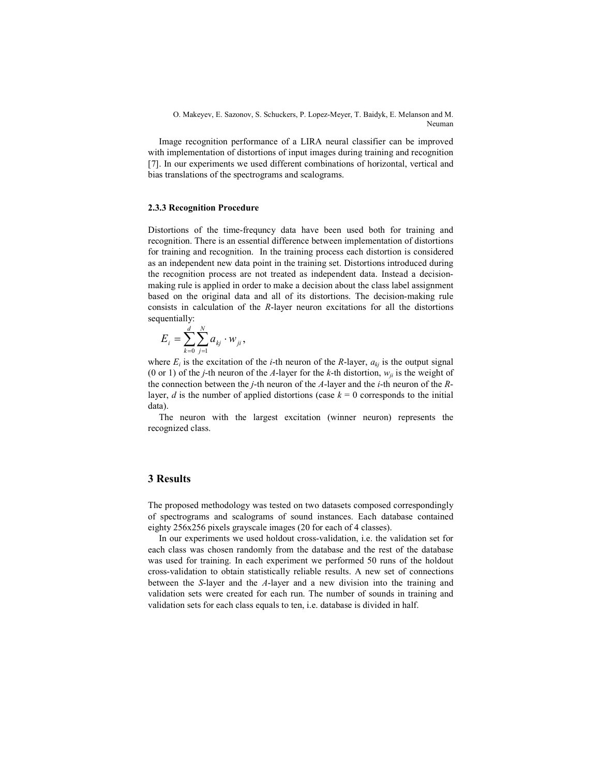Image recognition performance of a LIRA neural classifier can be improved with implementation of distortions of input images during training and recognition [7]. In our experiments we used different combinations of horizontal, vertical and bias translations of the spectrograms and scalograms.

#### 2.3.3 Recognition Procedure

Distortions of the time-frequncy data have been used both for training and recognition. There is an essential difference between implementation of distortions for training and recognition. In the training process each distortion is considered as an independent new data point in the training set. Distortions introduced during the recognition process are not treated as independent data. Instead a decisionmaking rule is applied in order to make a decision about the class label assignment based on the original data and all of its distortions. The decision-making rule consists in calculation of the R-layer neuron excitations for all the distortions sequentially:

$$
E_i = \sum_{k=0}^d \sum_{j=1}^N a_{kj} \cdot w_{ji},
$$

where  $E_i$  is the excitation of the *i*-th neuron of the *R*-layer,  $a_{kj}$  is the output signal (0 or 1) of the *j*-th neuron of the *A*-layer for the *k*-th distortion,  $w_{ji}$  is the weight of the connection between the *j*-th neuron of the  $A$ -layer and the *i*-th neuron of the  $R$ layer, d is the number of applied distortions (case  $k = 0$  corresponds to the initial data).

The neuron with the largest excitation (winner neuron) represents the recognized class.

# 3 Results

The proposed methodology was tested on two datasets composed correspondingly of spectrograms and scalograms of sound instances. Each database contained eighty 256x256 pixels grayscale images (20 for each of 4 classes).

In our experiments we used holdout cross-validation, i.e. the validation set for each class was chosen randomly from the database and the rest of the database was used for training. In each experiment we performed 50 runs of the holdout cross-validation to obtain statistically reliable results. A new set of connections between the S-layer and the A-layer and a new division into the training and validation sets were created for each run. The number of sounds in training and validation sets for each class equals to ten, i.e. database is divided in half.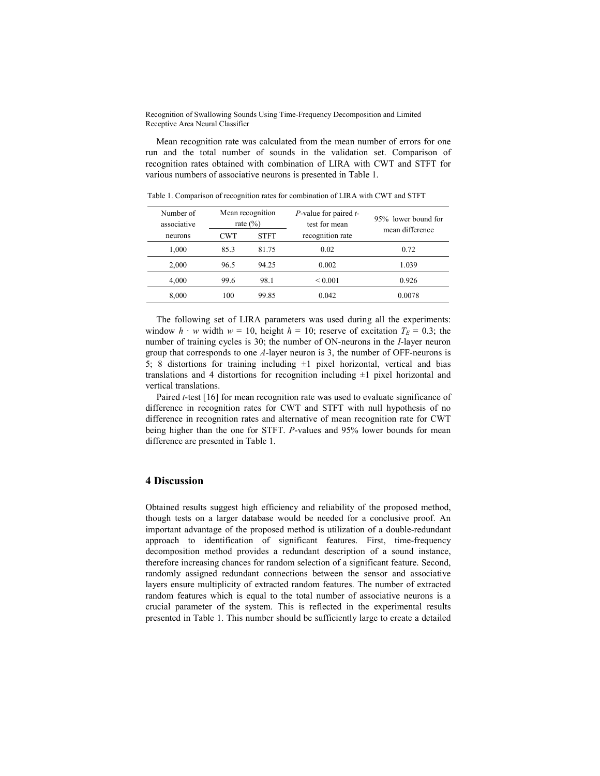Mean recognition rate was calculated from the mean number of errors for one run and the total number of sounds in the validation set. Comparison of recognition rates obtained with combination of LIRA with CWT and STFT for various numbers of associative neurons is presented in Table 1.

| Number of<br>associative | Mean recognition<br>rate $(\% )$ |             | $P$ -value for paired $t$ -<br>test for mean | 95% lower bound for |
|--------------------------|----------------------------------|-------------|----------------------------------------------|---------------------|
| neurons                  | <b>CWT</b>                       | <b>STFT</b> | recognition rate                             | mean difference     |
| 1,000                    | 85.3                             | 81.75       | 0.02                                         | 0.72                |
| 2,000                    | 96.5                             | 94.25       | 0.002                                        | 1.039               |
| 4,000                    | 99.6                             | 98.1        | ${}_{0.001}$                                 | 0.926               |
| 8,000                    | 100                              | 99.85       | 0.042                                        | 0.0078              |

Table 1. Comparison of recognition rates for combination of LIRA with CWT and STFT

The following set of LIRA parameters was used during all the experiments: window  $h \cdot w$  width  $w = 10$ , height  $h = 10$ ; reserve of excitation  $T_E = 0.3$ ; the number of training cycles is 30; the number of ON-neurons in the I-layer neuron group that corresponds to one A-layer neuron is 3, the number of OFF-neurons is 5; 8 distortions for training including  $\pm 1$  pixel horizontal, vertical and bias translations and 4 distortions for recognition including  $\pm 1$  pixel horizontal and vertical translations.

Paired *t*-test [16] for mean recognition rate was used to evaluate significance of difference in recognition rates for CWT and STFT with null hypothesis of no difference in recognition rates and alternative of mean recognition rate for CWT being higher than the one for STFT. P-values and 95% lower bounds for mean difference are presented in Table 1.

## 4 Discussion

Obtained results suggest high efficiency and reliability of the proposed method, though tests on a larger database would be needed for a conclusive proof. An important advantage of the proposed method is utilization of a double-redundant approach to identification of significant features. First, time-frequency decomposition method provides a redundant description of a sound instance, therefore increasing chances for random selection of a significant feature. Second, randomly assigned redundant connections between the sensor and associative layers ensure multiplicity of extracted random features. The number of extracted random features which is equal to the total number of associative neurons is a crucial parameter of the system. This is reflected in the experimental results presented in Table 1. This number should be sufficiently large to create a detailed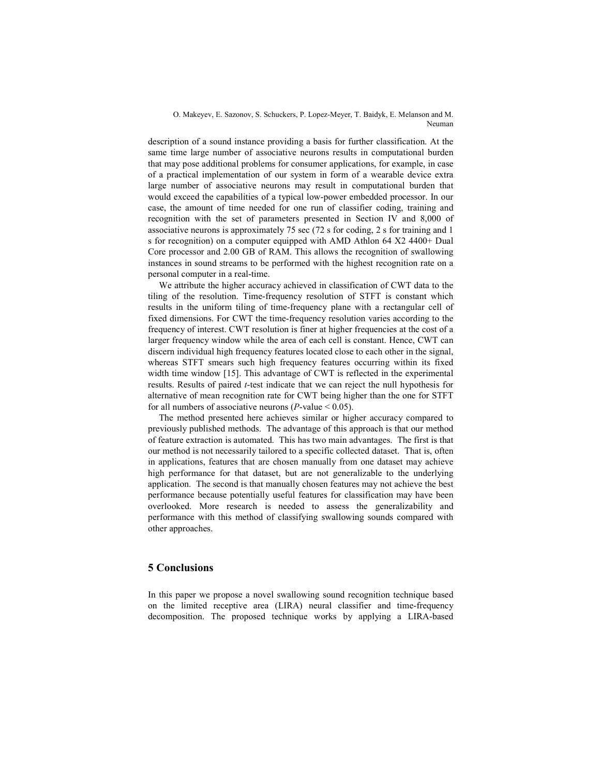description of a sound instance providing a basis for further classification. At the same time large number of associative neurons results in computational burden that may pose additional problems for consumer applications, for example, in case of a practical implementation of our system in form of a wearable device extra large number of associative neurons may result in computational burden that would exceed the capabilities of a typical low-power embedded processor. In our case, the amount of time needed for one run of classifier coding, training and recognition with the set of parameters presented in Section IV and 8,000 of associative neurons is approximately 75 sec (72 s for coding, 2 s for training and 1 s for recognition) on a computer equipped with AMD Athlon 64 X2 4400+ Dual Core processor and 2.00 GB of RAM. This allows the recognition of swallowing instances in sound streams to be performed with the highest recognition rate on a personal computer in a real-time.

We attribute the higher accuracy achieved in classification of CWT data to the tiling of the resolution. Time-frequency resolution of STFT is constant which results in the uniform tiling of time-frequency plane with a rectangular cell of fixed dimensions. For CWT the time-frequency resolution varies according to the frequency of interest. CWT resolution is finer at higher frequencies at the cost of a larger frequency window while the area of each cell is constant. Hence, CWT can discern individual high frequency features located close to each other in the signal, whereas STFT smears such high frequency features occurring within its fixed width time window [15]. This advantage of CWT is reflected in the experimental results. Results of paired t-test indicate that we can reject the null hypothesis for alternative of mean recognition rate for CWT being higher than the one for STFT for all numbers of associative neurons ( $P$ -value < 0.05).

The method presented here achieves similar or higher accuracy compared to previously published methods. The advantage of this approach is that our method of feature extraction is automated. This has two main advantages. The first is that our method is not necessarily tailored to a specific collected dataset. That is, often in applications, features that are chosen manually from one dataset may achieve high performance for that dataset, but are not generalizable to the underlying application. The second is that manually chosen features may not achieve the best performance because potentially useful features for classification may have been overlooked. More research is needed to assess the generalizability and performance with this method of classifying swallowing sounds compared with other approaches.

## 5 Conclusions

In this paper we propose a novel swallowing sound recognition technique based on the limited receptive area (LIRA) neural classifier and time-frequency decomposition. The proposed technique works by applying a LIRA-based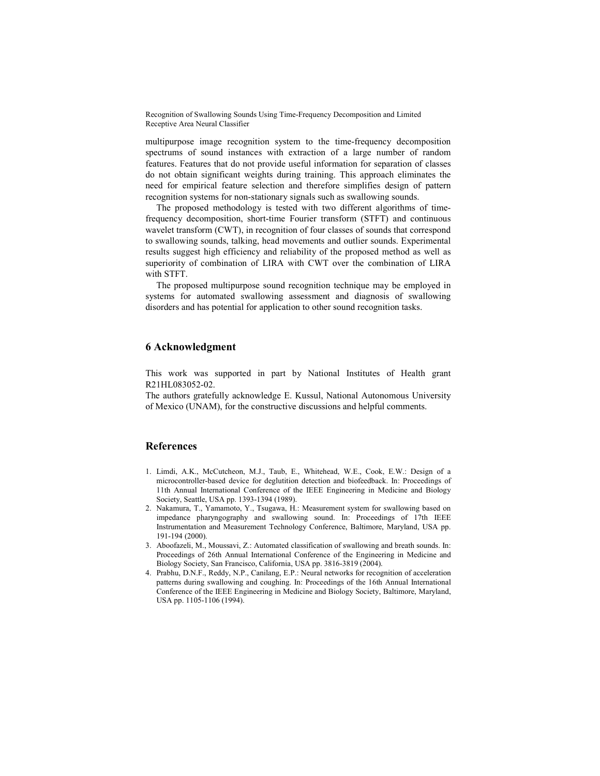multipurpose image recognition system to the time-frequency decomposition spectrums of sound instances with extraction of a large number of random features. Features that do not provide useful information for separation of classes do not obtain significant weights during training. This approach eliminates the need for empirical feature selection and therefore simplifies design of pattern recognition systems for non-stationary signals such as swallowing sounds.

The proposed methodology is tested with two different algorithms of timefrequency decomposition, short-time Fourier transform (STFT) and continuous wavelet transform (CWT), in recognition of four classes of sounds that correspond to swallowing sounds, talking, head movements and outlier sounds. Experimental results suggest high efficiency and reliability of the proposed method as well as superiority of combination of LIRA with CWT over the combination of LIRA with STFT.

The proposed multipurpose sound recognition technique may be employed in systems for automated swallowing assessment and diagnosis of swallowing disorders and has potential for application to other sound recognition tasks.

# 6 Acknowledgment

This work was supported in part by National Institutes of Health grant R21HL083052-02.

The authors gratefully acknowledge E. Kussul, National Autonomous University of Mexico (UNAM), for the constructive discussions and helpful comments.

## References

- 1. Limdi, A.K., McCutcheon, M.J., Taub, E., Whitehead, W.E., Cook, E.W.: Design of a microcontroller-based device for deglutition detection and biofeedback. In: Proceedings of 11th Annual International Conference of the IEEE Engineering in Medicine and Biology Society, Seattle, USA pp. 1393-1394 (1989).
- 2. Nakamura, T., Yamamoto, Y., Tsugawa, H.: Measurement system for swallowing based on impedance pharyngography and swallowing sound. In: Proceedings of 17th IEEE Instrumentation and Measurement Technology Conference, Baltimore, Maryland, USA pp. 191-194 (2000).
- 3. Aboofazeli, M., Moussavi, Z.: Automated classification of swallowing and breath sounds. In: Proceedings of 26th Annual International Conference of the Engineering in Medicine and Biology Society, San Francisco, California, USA pp. 3816-3819 (2004).
- 4. Prabhu, D.N.F., Reddy, N.P., Canilang, E.P.: Neural networks for recognition of acceleration patterns during swallowing and coughing. In: Proceedings of the 16th Annual International Conference of the IEEE Engineering in Medicine and Biology Society, Baltimore, Maryland, USA pp. 1105-1106 (1994).